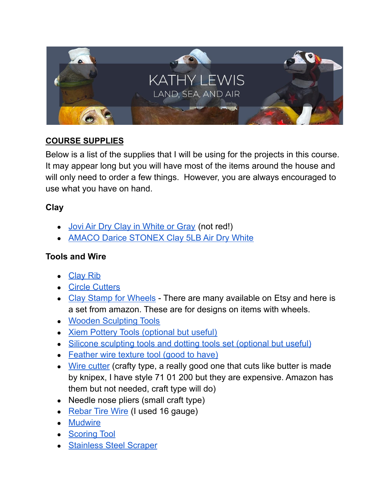

# **COURSE SUPPLIES**

Below is a list of the supplies that I will be using for the projects in this course. It may appear long but you will have most of the items around the house and will only need to order a few things. However, you are always encouraged to use what you have on hand.

## **Clay**

- [Jovi Air Dry Clay in White or Gray](https://amzn.to/3QjK0Y4) (not red!)
- [AMACO Darice STONEX Clay 5LB Air Dry White](https://amzn.to/3QjJFog)

## **Tools and Wire**

- [Clay Rib](https://amzn.to/3Hm3ebh)
- [Circle Cutters](https://amzn.to/3tvSaD2)
- [Clay Stamp for Wheels](https://amzn.to/3Qd8m5E) There are many available on Etsy and here is a set from amazon. These are for designs on items with wheels.
- [Wooden Sculpting Tools](https://amzn.to/3hLM8an)
- [Xiem Pottery Tools \(optional but useful\)](https://amzn.to/32jVczM)
- [Silicone sculpting tools and dotting tools set \(optional but useful\)](https://amzn.to/3qds0SW)
- [Feather wire texture tool \(good to have\)](https://amzn.to/3yv1Ey9)
- [Wire cutter](https://amzn.to/3entZ1j) (crafty type, a really good one that cuts like butter is made by knipex, I have style 71 01 200 but they are expensive. Amazon has them but not needed, craft type will do)
- Needle nose pliers (small craft type)
- [Rebar Tire Wire](https://amzn.to/3NRkfN1) (I used 16 gauge)
- [Mudwire](https://amzn.to/3OgvzSW)
- [Scoring Tool](https://amzn.to/3MP8fui)
- [Stainless Steel Scraper](https://amzn.to/3QhzFf7)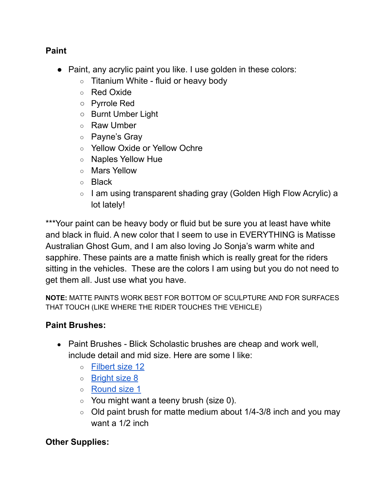## **Paint**

- Paint, any acrylic paint you like. I use golden in these colors:
	- Titanium White fluid or heavy body
	- Red Oxide
	- Pyrrole Red
	- Burnt Umber Light
	- Raw Umber
	- Payne's Gray
	- Yellow Oxide or Yellow Ochre
	- Naples Yellow Hue
	- Mars Yellow
	- Black
	- I am using transparent shading gray (Golden High Flow Acrylic) a lot lately!

\*\*\*Your paint can be heavy body or fluid but be sure you at least have white and black in fluid. A new color that I seem to use in EVERYTHING is Matisse Australian Ghost Gum, and I am also loving Jo Sonja's warm white and sapphire. These paints are a matte finish which is really great for the riders sitting in the vehicles. These are the colors I am using but you do not need to get them all. Just use what you have.

**NOTE:** MATTE PAINTS WORK BEST FOR BOTTOM OF SCULPTURE AND FOR SURFACES THAT TOUCH (LIKE WHERE THE RIDER TOUCHES THE VEHICLE)

# **Paint Brushes:**

- Paint Brushes Blick Scholastic brushes are cheap and work well, include detail and mid size. Here are some I like:
	- [Filbert size 12](https://www.dickblick.com/items/05379-1012/)
	- [Bright size 8](https://www.dickblick.com/items/05377-1008/)
	- [Round size 1](https://www.dickblick.com/items/05381-1001/)
	- $\circ$  You might want a teeny brush (size 0).
	- $\circ$  Old paint brush for matte medium about 1/4-3/8 inch and you may want a 1/2 inch

# **Other Supplies:**